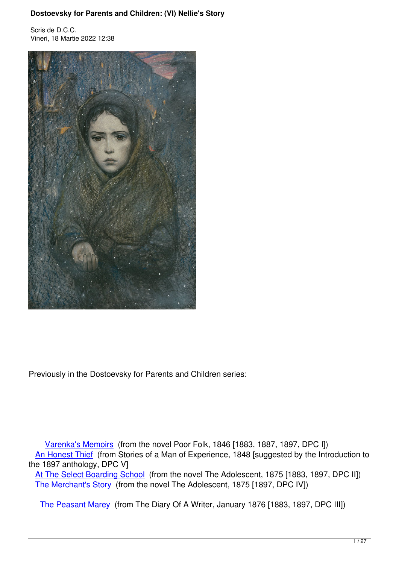Vineri, 18 Martie 2022 12:38



Previously in the Dostoevsky for Parents and Children series:

 Varenka's Memoirs (from the novel Poor Folk, 1846 [1883, 1887, 1897, DPC I]) An Honest Thief (from Stories of a Man of Experience, 1848 [suggested by the Introduction to the 1897 anthology, DPC V]

 At [The Select Boardin](https://karamazov.ro/index.php/ce-citim/716-dostoevsky-for-parents-and-children-i-varenkas-memoirs.html)g School (from the novel The Adolescent, 1875 [1883, 1897, DPC II]) [The Merchant](index.php/dostoievski/720-dostoevsky-for-parents-and-children-v-an-honest-thief.html)'[s S](index.php/dostoievski/720-dostoevsky-for-parents-and-children-v-an-honest-thief.html)tory (from the novel The Adolescent, 1875 [1897, DPC IV])

[The Peasant Marey](https://karamazov.ro/index.php/component/content/article/717-dostoevsky-for-parents-and-children-ii-at-the-select-boarding-school.html) (from The Diary Of A Writer, January 1876 [1883, 1897, DPC III])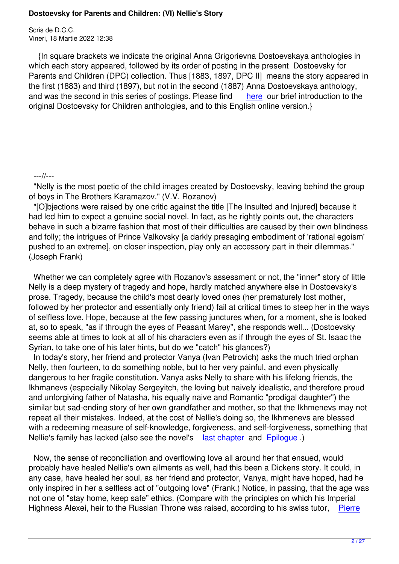{In square brackets we indicate the original Anna Grigorievna Dostoevskaya anthologies in which each story appeared, followed by its order of posting in the present Dostoevsky for Parents and Children (DPC) collection. Thus [1883, 1897, DPC II] means the story appeared in the first (1883) and third (1897), but not in the second (1887) Anna Dostoevskaya anthology, and was the second in this series of postings. Please find here our brief introduction to the original Dostoevsky for Children anthologies, and to this English online version.}

## ---//---

 "Nelly is the most poetic of the child images created by Dostoevsky, leaving behind the group of boys in The Brothers Karamazov." (V.V. Rozanov)

 "[O]bjections were raised by one critic against the title [The Insulted and Injured] because it had led him to expect a genuine social novel. In fact, as he rightly points out, the characters behave in such a bizarre fashion that most of their difficulties are caused by their own blindness and folly; the intrigues of Prince Valkovsky [a darkly presaging embodiment of 'rational egoism' pushed to an extreme], on closer inspection, play only an accessory part in their dilemmas." (Joseph Frank)

 Whether we can completely agree with Rozanov's assessment or not, the "inner" story of little Nelly is a deep mystery of tragedy and hope, hardly matched anywhere else in Dostoevsky's prose. Tragedy, because the child's most dearly loved ones (her prematurely lost mother, followed by her protector and essentially only friend) fail at critical times to steep her in the ways of selfless love. Hope, because at the few passing junctures when, for a moment, she is looked at, so to speak, "as if through the eyes of Peasant Marey", she responds well... (Dostoevsky seems able at times to look at all of his characters even as if through the eyes of St. Isaac the Syrian, to take one of his later hints, but do we "catch" his glances?)

 In today's story, her friend and protector Vanya (Ivan Petrovich) asks the much tried orphan Nelly, then fourteen, to do something noble, but to her very painful, and even physically dangerous to her fragile constitution. Vanya asks Nelly to share with his lifelong friends, the Ikhmanevs (especially Nikolay Sergeyitch, the loving but naively idealistic, and therefore proud and unforgiving father of Natasha, his equally naive and Romantic "prodigal daughter") the similar but sad-ending story of her own grandfather and mother, so that the Ikhmenevs may not repeat all their mistakes. Indeed, at the cost of Nellie's doing so, the Ikhmenevs are blessed with a redeeming measure of self-knowledge, forgiveness, and self-forgiveness, something that Nellie's family has lacked (also see the novel's last chapter and Epiloque.)

 Now, the sense of reconciliation and overflowing love all around her that ensued, would probably have healed Nellie's own ailments as w[ell, had this b](https://archive.ph/taSgh)een [a Dickens](https://archive.ph/pSfBX) story. It could, in any case, have healed her soul, as her friend and protector, Vanya, might have hoped, had he only inspired in her a selfless act of "outgoing love" (Frank.) Notice, in passing, that the age was not one of "stay home, keep safe" ethics. (Compare with the principles on which his Imperial Highness Alexei, heir to the Russian Throne was raised, according to his swiss tutor, Pierre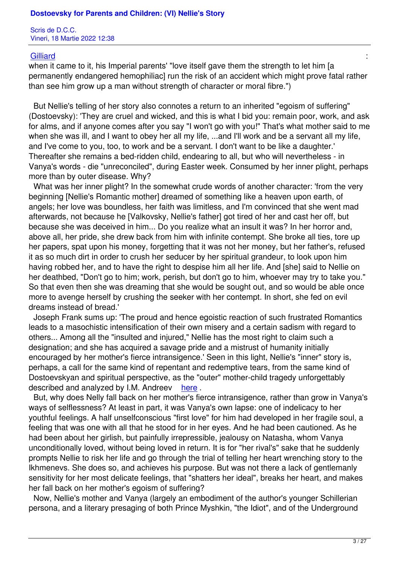# er <mark>Gilliard</mark> and the second state of the second state of the second state of the second state  $\mathcal{C}$

when it came to it, his Imperial parents' "love itself gave them the strength to let him [a permanently endangered hemophiliac] run the risk of an accident which might prove fatal rather [than see](https://archive.ph/yjbEE#selection-131.1-143.640) him grow up a man without strength of character or moral fibre.")

 But Nellie's telling of her story also connotes a return to an inherited "egoism of suffering" (Dostoevsky): 'They are cruel and wicked, and this is what I bid you: remain poor, work, and ask for alms, and if anyone comes after you say "I won't go with you!" That's what mother said to me when she was ill, and I want to obey her all my life, ...and I'll work and be a servant all my life, and I've come to you, too, to work and be a servant. I don't want to be like a daughter.' Thereafter she remains a bed-ridden child, endearing to all, but who will nevertheless - in Vanya's words - die "unreconciled", during Easter week. Consumed by her inner plight, perhaps more than by outer disease. Why?

 What was her inner plight? In the somewhat crude words of another character: 'from the very beginning [Nellie's Romantic mother] dreamed of something like a heaven upon earth, of angels; her love was boundless, her faith was limitless, and I'm convinced that she went mad afterwards, not because he [Valkovsky, Nellie's father] got tired of her and cast her off, but because she was deceived in him... Do you realize what an insult it was? In her horror and, above all, her pride, she drew back from him with infinite contempt. She broke all ties, tore up her papers, spat upon his money, forgetting that it was not her money, but her father's, refused it as so much dirt in order to crush her seducer by her spiritual grandeur, to look upon him having robbed her, and to have the right to despise him all her life. And [she] said to Nellie on her deathbed, "Don't go to him; work, perish, but don't go to him, whoever may try to take you." So that even then she was dreaming that she would be sought out, and so would be able once more to avenge herself by crushing the seeker with her contempt. In short, she fed on evil dreams instead of bread.'

 Joseph Frank sums up: 'The proud and hence egoistic reaction of such frustrated Romantics leads to a masochistic intensification of their own misery and a certain sadism with regard to others... Among all the "insulted and injured," Nellie has the most right to claim such a designation; and she has acquired a savage pride and a mistrust of humanity initially encouraged by her mother's fierce intransigence.' Seen in this light, Nellie's "inner" story is, perhaps, a call for the same kind of repentant and redemptive tears, from the same kind of Dostoevskyan and spiritual perspective, as the "outer" mother-child tragedy unforgettably described and analyzed by I.M. Andreev here .

 But, why does Nelly fall back on her mother's fierce intransigence, rather than grow in Vanya's ways of selflessness? At least in part, it was Vanya's own lapse: one of indelicacy to her youthful feelings. A half unselfconscious "fi[rst lo](https://archive.ph/a77ym#selection-307.0-307.23)ve" for him had developed in her fragile soul, a feeling that was one with all that he stood for in her eyes. And he had been cautioned. As he had been about her girlish, but painfully irrepressible, jealousy on Natasha, whom Vanya unconditionally loved, without being loved in return. It is for "her rival's" sake that he suddenly prompts Nellie to risk her life and go through the trial of telling her heart wrenching story to the Ikhmenevs. She does so, and achieves his purpose. But was not there a lack of gentlemanly sensitivity for her most delicate feelings, that "shatters her ideal", breaks her heart, and makes her fall back on her mother's egoism of suffering?

 Now, Nellie's mother and Vanya (largely an embodiment of the author's younger Schillerian persona, and a literary presaging of both Prince Myshkin, "the Idiot", and of the Underground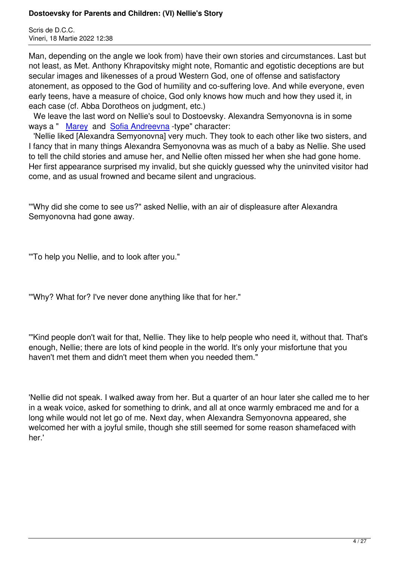Man, depending on the angle we look from) have their own stories and circumstances. Last but not least, as Met. Anthony Khrapovitsky might note, Romantic and egotistic deceptions are but secular images and likenesses of a proud Western God, one of offense and satisfactory atonement, as opposed to the God of humility and co-suffering love. And while everyone, even early teens, have a measure of choice, God only knows how much and how they used it, in each case (cf. Abba Dorotheos on judgment, etc.)

 We leave the last word on Nellie's soul to Dostoevsky. Alexandra Semyonovna is in some ways a " Marey and Sofia Andreevna -type" character:

 'Nellie liked [Alexandra Semyonovna] very much. They took to each other like two sisters, and I fancy that in many things Alexandra Semyonovna was as much of a baby as Nellie. She used to tell the [child st](index.php/dostoievski/718-dostoevsky-for-parents-and-children-iii-the-peasant-marey.html)ories [and amuse her, a](index.php/dostoievski/717-dostoevsky-for-parents-and-children-ii-at-the-select-boarding-school.html)nd Nellie often missed her when she had gone home. Her first appearance surprised my invalid, but she quickly guessed why the uninvited visitor had come, and as usual frowned and became silent and ungracious.

'"Why did she come to see us?" asked Nellie, with an air of displeasure after Alexandra Semyonovna had gone away.

'"To help you Nellie, and to look after you."

'"Why? What for? I've never done anything like that for her."

'"Kind people don't wait for that, Nellie. They like to help people who need it, without that. That's enough, Nellie; there are lots of kind people in the world. It's only your misfortune that you haven't met them and didn't meet them when you needed them."

'Nellie did not speak. I walked away from her. But a quarter of an hour later she called me to her in a weak voice, asked for something to drink, and all at once warmly embraced me and for a long while would not let go of me. Next day, when Alexandra Semyonovna appeared, she welcomed her with a joyful smile, though she still seemed for some reason shamefaced with her.'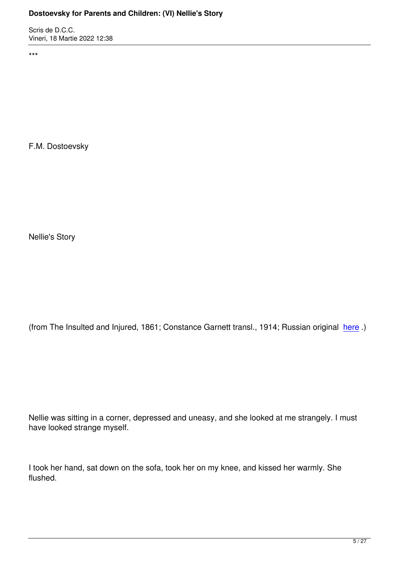\*\*\*

F.M. Dostoevsky

Nellie's Story

(from The Insulted and Injured, 1861; Constance Garnett transl., 1914; Russian original here.)

Nellie was sitting in a corner, depressed and uneasy, and she looked at me strangely. I must have looked strange myself.

I took her hand, sat down on the sofa, took her on my knee, and kissed her warmly. She flushed.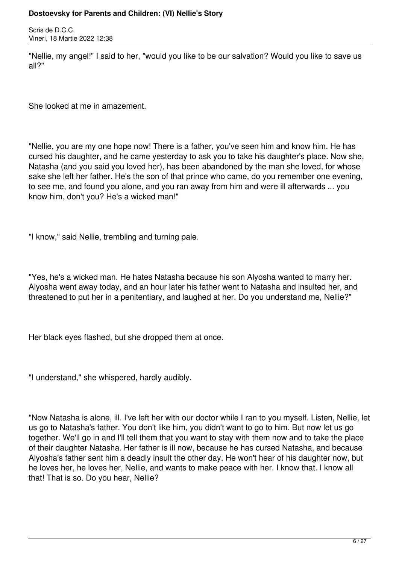Scris de D.C.C. Vineri, 18 Martie 2022 12:38

"Nellie, my angel!" I said to her, "would you like to be our salvation? Would you like to save us all?"

She looked at me in amazement.

"Nellie, you are my one hope now! There is a father, you've seen him and know him. He has cursed his daughter, and he came yesterday to ask you to take his daughter's place. Now she, Natasha (and you said you loved her), has been abandoned by the man she loved, for whose sake she left her father. He's the son of that prince who came, do you remember one evening, to see me, and found you alone, and you ran away from him and were ill afterwards ... you know him, don't you? He's a wicked man!"

"I know," said Nellie, trembling and turning pale.

"Yes, he's a wicked man. He hates Natasha because his son Alyosha wanted to marry her. Alyosha went away today, and an hour later his father went to Natasha and insulted her, and threatened to put her in a penitentiary, and laughed at her. Do you understand me, Nellie?"

Her black eyes flashed, but she dropped them at once.

"I understand," she whispered, hardly audibly.

"Now Natasha is alone, ill. I've left her with our doctor while I ran to you myself. Listen, Nellie, let us go to Natasha's father. You don't like him, you didn't want to go to him. But now let us go together. We'll go in and I'll tell them that you want to stay with them now and to take the place of their daughter Natasha. Her father is ill now, because he has cursed Natasha, and because Alyosha's father sent him a deadly insult the other day. He won't hear of his daughter now, but he loves her, he loves her, Nellie, and wants to make peace with her. I know that. I know all that! That is so. Do you hear, Nellie?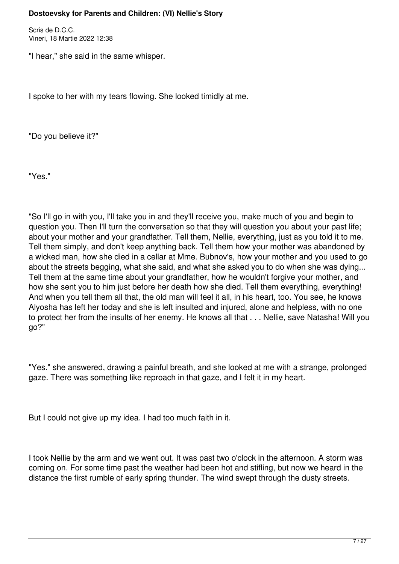Scris de D.C.C. Vineri, 18 Martie 2022 12:38

"I hear," she said in the same whisper.

I spoke to her with my tears flowing. She looked timidly at me.

"Do you believe it?"

"Yes."

"So I'll go in with you, I'll take you in and they'll receive you, make much of you and begin to question you. Then I'll turn the conversation so that they will question you about your past life; about your mother and your grandfather. Tell them, Nellie, everything, just as you told it to me. Tell them simply, and don't keep anything back. Tell them how your mother was abandoned by a wicked man, how she died in a cellar at Mme. Bubnov's, how your mother and you used to go about the streets begging, what she said, and what she asked you to do when she was dying... Tell them at the same time about your grandfather, how he wouldn't forgive your mother, and how she sent you to him just before her death how she died. Tell them everything, everything! And when you tell them all that, the old man will feel it all, in his heart, too. You see, he knows Alyosha has left her today and she is left insulted and injured, alone and helpless, with no one to protect her from the insults of her enemy. He knows all that . . . Nellie, save Natasha! Will you go?"

"Yes." she answered, drawing a painful breath, and she looked at me with a strange, prolonged gaze. There was something like reproach in that gaze, and I felt it in my heart.

But I could not give up my idea. I had too much faith in it.

I took Nellie by the arm and we went out. It was past two o'clock in the afternoon. A storm was coming on. For some time past the weather had been hot and stifling, but now we heard in the distance the first rumble of early spring thunder. The wind swept through the dusty streets.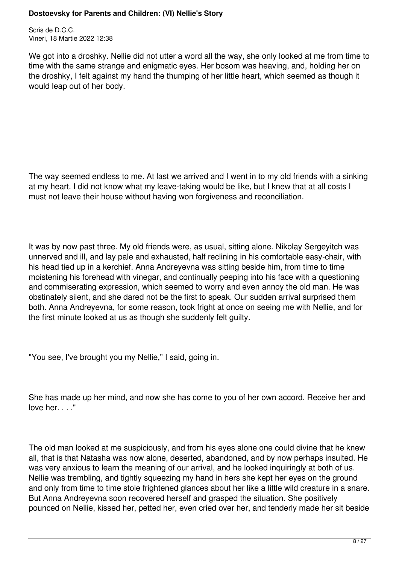Scris de D.C.C. Vineri, 18 Martie 2022 12:38

We got into a droshky. Nellie did not utter a word all the way, she only looked at me from time to time with the same strange and enigmatic eyes. Her bosom was heaving, and, holding her on the droshky, I felt against my hand the thumping of her little heart, which seemed as though it would leap out of her body.

The way seemed endless to me. At last we arrived and I went in to my old friends with a sinking at my heart. I did not know what my leave-taking would be like, but I knew that at all costs I must not leave their house without having won forgiveness and reconciliation.

It was by now past three. My old friends were, as usual, sitting alone. Nikolay Sergeyitch was unnerved and ill, and lay pale and exhausted, half reclining in his comfortable easy-chair, with his head tied up in a kerchief. Anna Andreyevna was sitting beside him, from time to time moistening his forehead with vinegar, and continually peeping into his face with a questioning and commiserating expression, which seemed to worry and even annoy the old man. He was obstinately silent, and she dared not be the first to speak. Our sudden arrival surprised them both. Anna Andreyevna, for some reason, took fright at once on seeing me with Nellie, and for the first minute looked at us as though she suddenly felt guilty.

"You see, I've brought you my Nellie," I said, going in.

She has made up her mind, and now she has come to you of her own accord. Receive her and love her. . . ."

The old man looked at me suspiciously, and from his eyes alone one could divine that he knew all, that is that Natasha was now alone, deserted, abandoned, and by now perhaps insulted. He was very anxious to learn the meaning of our arrival, and he looked inquiringly at both of us. Nellie was trembling, and tightly squeezing my hand in hers she kept her eyes on the ground and only from time to time stole frightened glances about her like a little wild creature in a snare. But Anna Andreyevna soon recovered herself and grasped the situation. She positively pounced on Nellie, kissed her, petted her, even cried over her, and tenderly made her sit beside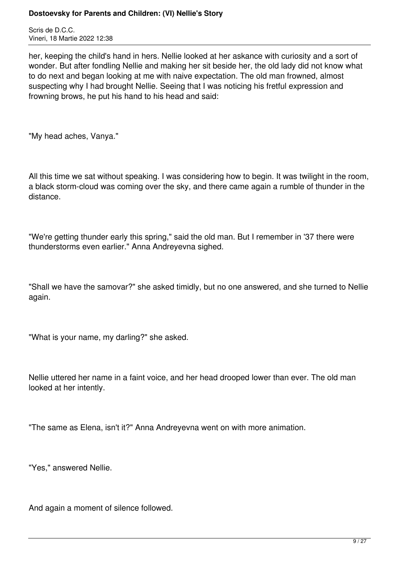Scris de D.C.C. Vineri, 18 Martie 2022 12:38

her, keeping the child's hand in hers. Nellie looked at her askance with curiosity and a sort of wonder. But after fondling Nellie and making her sit beside her, the old lady did not know what to do next and began looking at me with naive expectation. The old man frowned, almost suspecting why I had brought Nellie. Seeing that I was noticing his fretful expression and frowning brows, he put his hand to his head and said:

"My head aches, Vanya."

All this time we sat without speaking. I was considering how to begin. It was twilight in the room, a black storm-cloud was coming over the sky, and there came again a rumble of thunder in the distance.

"We're getting thunder early this spring," said the old man. But I remember in '37 there were thunderstorms even earlier." Anna Andreyevna sighed.

"Shall we have the samovar?" she asked timidly, but no one answered, and she turned to Nellie again.

"What is your name, my darling?" she asked.

Nellie uttered her name in a faint voice, and her head drooped lower than ever. The old man looked at her intently.

"The same as Elena, isn't it?" Anna Andreyevna went on with more animation.

"Yes," answered Nellie.

And again a moment of silence followed.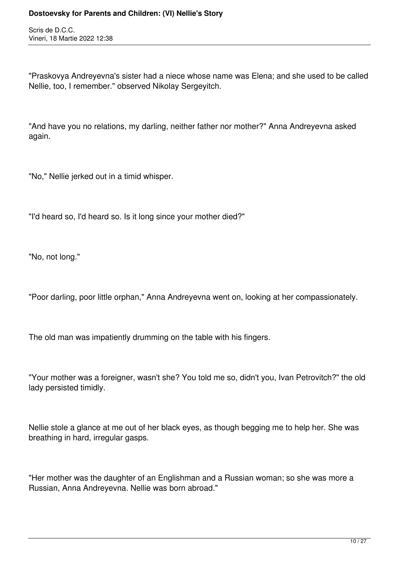Scris de D.C.C. Vineri, 18 Martie 2022 12:38

"Praskovya Andreyevna's sister had a niece whose name was Elena; and she used to be called Nellie, too, I remember." observed Nikolay Sergeyitch.

"And have you no relations, my darling, neither father nor mother?" Anna Andreyevna asked again.

"No," Nellie jerked out in a timid whisper.

"I'd heard so, I'd heard so. Is it long since your mother died?"

"No, not long."

"Poor darling, poor little orphan," Anna Andreyevna went on, looking at her compassionately.

The old man was impatiently drumming on the table with his fingers.

"Your mother was a foreigner, wasn't she? You told me so, didn't you, Ivan Petrovitch?" the old lady persisted timidly.

Nellie stole a glance at me out of her black eyes, as though begging me to help her. She was breathing in hard, irregular gasps.

"Her mother was the daughter of an Englishman and a Russian woman; so she was more a Russian, Anna Andreyevna. Nellie was born abroad."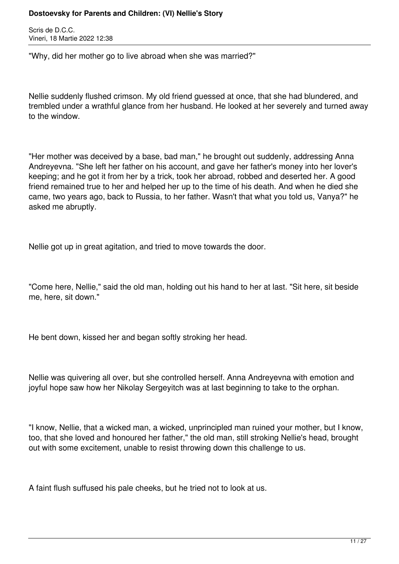Scris de D.C.C. Vineri, 18 Martie 2022 12:38

"Why, did her mother go to live abroad when she was married?"

Nellie suddenly flushed crimson. My old friend guessed at once, that she had blundered, and trembled under a wrathful glance from her husband. He looked at her severely and turned away to the window.

"Her mother was deceived by a base, bad man," he brought out suddenly, addressing Anna Andreyevna. "She left her father on his account, and gave her father's money into her lover's keeping; and he got it from her by a trick, took her abroad, robbed and deserted her. A good friend remained true to her and helped her up to the time of his death. And when he died she came, two years ago, back to Russia, to her father. Wasn't that what you told us, Vanya?" he asked me abruptly.

Nellie got up in great agitation, and tried to move towards the door.

"Come here, Nellie," said the old man, holding out his hand to her at last. "Sit here, sit beside me, here, sit down."

He bent down, kissed her and began softly stroking her head.

Nellie was quivering all over, but she controlled herself. Anna Andreyevna with emotion and joyful hope saw how her Nikolay Sergeyitch was at last beginning to take to the orphan.

"I know, Nellie, that a wicked man, a wicked, unprincipled man ruined your mother, but I know, too, that she loved and honoured her father," the old man, still stroking Nellie's head, brought out with some excitement, unable to resist throwing down this challenge to us.

A faint flush suffused his pale cheeks, but he tried not to look at us.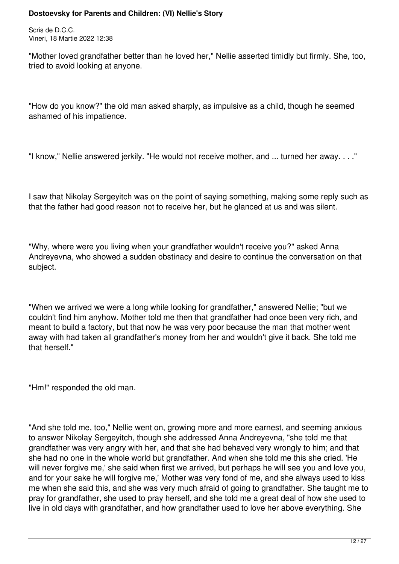Scris de D.C.C. Vineri, 18 Martie 2022 12:38

"Mother loved grandfather better than he loved her," Nellie asserted timidly but firmly. She, too, tried to avoid looking at anyone.

"How do you know?" the old man asked sharply, as impulsive as a child, though he seemed ashamed of his impatience.

"I know," Nellie answered jerkily. "He would not receive mother, and ... turned her away. . . ."

I saw that Nikolay Sergeyitch was on the point of saying something, making some reply such as that the father had good reason not to receive her, but he glanced at us and was silent.

"Why, where were you living when your grandfather wouldn't receive you?" asked Anna Andreyevna, who showed a sudden obstinacy and desire to continue the conversation on that subject.

"When we arrived we were a long while looking for grandfather," answered Nellie; "but we couldn't find him anyhow. Mother told me then that grandfather had once been very rich, and meant to build a factory, but that now he was very poor because the man that mother went away with had taken all grandfather's money from her and wouldn't give it back. She told me that herself."

"Hm!" responded the old man.

"And she told me, too," Nellie went on, growing more and more earnest, and seeming anxious to answer Nikolay Sergeyitch, though she addressed Anna Andreyevna, "she told me that grandfather was very angry with her, and that she had behaved very wrongly to him; and that she had no one in the whole world but grandfather. And when she told me this she cried. 'He will never forgive me,' she said when first we arrived, but perhaps he will see you and love you, and for your sake he will forgive me,' Mother was very fond of me, and she always used to kiss me when she said this, and she was very much afraid of going to grandfather. She taught me to pray for grandfather, she used to pray herself, and she told me a great deal of how she used to live in old days with grandfather, and how grandfather used to love her above everything. She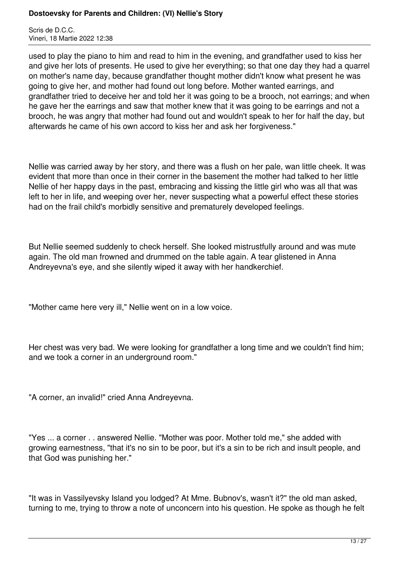Scris de D.C.C. Vineri, 18 Martie 2022 12:38

used to play the piano to him and read to him in the evening, and grandfather used to kiss her and give her lots of presents. He used to give her everything; so that one day they had a quarrel on mother's name day, because grandfather thought mother didn't know what present he was going to give her, and mother had found out long before. Mother wanted earrings, and grandfather tried to deceive her and told her it was going to be a brooch, not earrings; and when he gave her the earrings and saw that mother knew that it was going to be earrings and not a brooch, he was angry that mother had found out and wouldn't speak to her for half the day, but afterwards he came of his own accord to kiss her and ask her forgiveness."

Nellie was carried away by her story, and there was a flush on her pale, wan little cheek. It was evident that more than once in their corner in the basement the mother had talked to her little Nellie of her happy days in the past, embracing and kissing the little girl who was all that was left to her in life, and weeping over her, never suspecting what a powerful effect these stories had on the frail child's morbidly sensitive and prematurely developed feelings.

But Nellie seemed suddenly to check herself. She looked mistrustfully around and was mute again. The old man frowned and drummed on the table again. A tear glistened in Anna Andreyevna's eye, and she silently wiped it away with her handkerchief.

"Mother came here very ill," Nellie went on in a low voice.

Her chest was very bad. We were looking for grandfather a long time and we couldn't find him; and we took a corner in an underground room."

"A corner, an invalid!" cried Anna Andreyevna.

"Yes ... a corner . . answered Nellie. "Mother was poor. Mother told me," she added with growing earnestness, "that it's no sin to be poor, but it's a sin to be rich and insult people, and that God was punishing her."

"It was in Vassilyevsky Island you lodged? At Mme. Bubnov's, wasn't it?" the old man asked, turning to me, trying to throw a note of unconcern into his question. He spoke as though he felt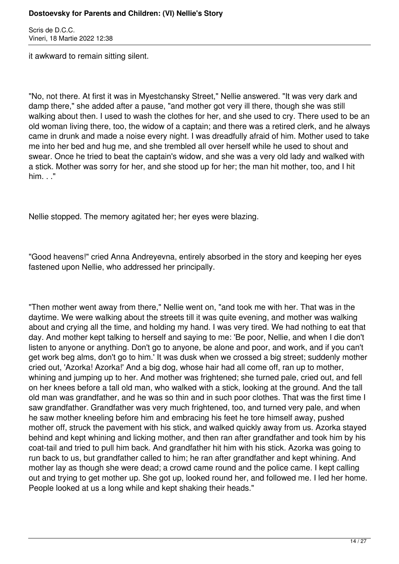Scris de D.C.C. Vineri, 18 Martie 2022 12:38

it awkward to remain sitting silent.

"No, not there. At first it was in Myestchansky Street," Nellie answered. "It was very dark and damp there," she added after a pause, "and mother got very ill there, though she was still walking about then. I used to wash the clothes for her, and she used to cry. There used to be an old woman living there, too, the widow of a captain; and there was a retired clerk, and he always came in drunk and made a noise every night. I was dreadfully afraid of him. Mother used to take me into her bed and hug me, and she trembled all over herself while he used to shout and swear. Once he tried to beat the captain's widow, and she was a very old lady and walked with a stick. Mother was sorry for her, and she stood up for her; the man hit mother, too, and I hit him. . ."

Nellie stopped. The memory agitated her; her eyes were blazing.

"Good heavens!" cried Anna Andreyevna, entirely absorbed in the story and keeping her eyes fastened upon Nellie, who addressed her principally.

"Then mother went away from there," Nellie went on, "and took me with her. That was in the daytime. We were walking about the streets till it was quite evening, and mother was walking about and crying all the time, and holding my hand. I was very tired. We had nothing to eat that day. And mother kept talking to herself and saying to me: 'Be poor, Nellie, and when I die don't listen to anyone or anything. Don't go to anyone, be alone and poor, and work, and if you can't get work beg alms, don't go to him.' It was dusk when we crossed a big street; suddenly mother cried out, 'Azorka! Azorka!' And a big dog, whose hair had all come off, ran up to mother, whining and jumping up to her. And mother was frightened; she turned pale, cried out, and fell on her knees before a tall old man, who walked with a stick, looking at the ground. And the tall old man was grandfather, and he was so thin and in such poor clothes. That was the first time I saw grandfather. Grandfather was very much frightened, too, and turned very pale, and when he saw mother kneeling before him and embracing his feet he tore himself away, pushed mother off, struck the pavement with his stick, and walked quickly away from us. Azorka stayed behind and kept whining and licking mother, and then ran after grandfather and took him by his coat-tail and tried to pull him back. And grandfather hit him with his stick. Azorka was going to run back to us, but grandfather called to him; he ran after grandfather and kept whining. And mother lay as though she were dead; a crowd came round and the police came. I kept calling out and trying to get mother up. She got up, looked round her, and followed me. I led her home. People looked at us a long while and kept shaking their heads."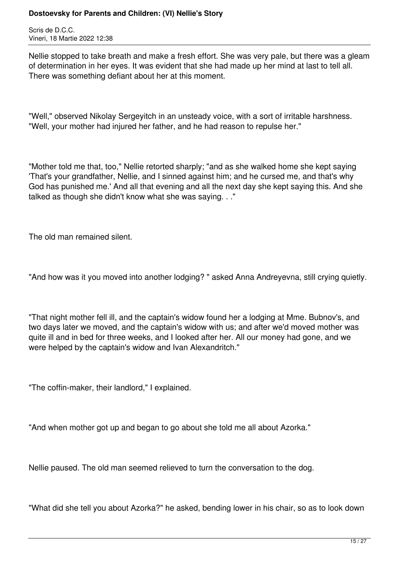Scris de D.C.C. Vineri, 18 Martie 2022 12:38

Nellie stopped to take breath and make a fresh effort. She was very pale, but there was a gleam of determination in her eyes. It was evident that she had made up her mind at last to tell all. There was something defiant about her at this moment.

"Well," observed Nikolay Sergeyitch in an unsteady voice, with a sort of irritable harshness. "Well, your mother had injured her father, and he had reason to repulse her."

"Mother told me that, too," Nellie retorted sharply; "and as she walked home she kept saying 'That's your grandfather, Nellie, and I sinned against him; and he cursed me, and that's why God has punished me.' And all that evening and all the next day she kept saying this. And she talked as though she didn't know what she was saying. . ."

The old man remained silent.

"And how was it you moved into another lodging? " asked Anna Andreyevna, still crying quietly.

"That night mother fell ill, and the captain's widow found her a lodging at Mme. Bubnov's, and two days later we moved, and the captain's widow with us; and after we'd moved mother was quite ill and in bed for three weeks, and I looked after her. All our money had gone, and we were helped by the captain's widow and Ivan Alexandritch."

"The coffin-maker, their landlord," I explained.

"And when mother got up and began to go about she told me all about Azorka."

Nellie paused. The old man seemed relieved to turn the conversation to the dog.

"What did she tell you about Azorka?" he asked, bending lower in his chair, so as to look down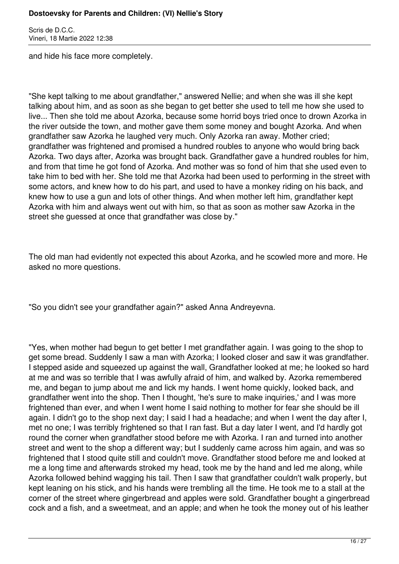Scris de D.C.C. Vineri, 18 Martie 2022 12:38

and hide his face more completely.

"She kept talking to me about grandfather," answered Nellie; and when she was ill she kept talking about him, and as soon as she began to get better she used to tell me how she used to live... Then she told me about Azorka, because some horrid boys tried once to drown Azorka in the river outside the town, and mother gave them some money and bought Azorka. And when grandfather saw Azorka he laughed very much. Only Azorka ran away. Mother cried; grandfather was frightened and promised a hundred roubles to anyone who would bring back Azorka. Two days after, Azorka was brought back. Grandfather gave a hundred roubles for him, and from that time he got fond of Azorka. And mother was so fond of him that she used even to take him to bed with her. She told me that Azorka had been used to performing in the street with some actors, and knew how to do his part, and used to have a monkey riding on his back, and knew how to use a gun and lots of other things. And when mother left him, grandfather kept Azorka with him and always went out with him, so that as soon as mother saw Azorka in the street she guessed at once that grandfather was close by."

The old man had evidently not expected this about Azorka, and he scowled more and more. He asked no more questions.

"So you didn't see your grandfather again?" asked Anna Andreyevna.

"Yes, when mother had begun to get better I met grandfather again. I was going to the shop to get some bread. Suddenly I saw a man with Azorka; I looked closer and saw it was grandfather. I stepped aside and squeezed up against the wall, Grandfather looked at me; he looked so hard at me and was so terrible that I was awfully afraid of him, and walked by. Azorka remembered me, and began to jump about me and lick my hands. I went home quickly, looked back, and grandfather went into the shop. Then I thought, 'he's sure to make inquiries,' and I was more frightened than ever, and when I went home I said nothing to mother for fear she should be ill again. I didn't go to the shop next day; I said I had a headache; and when I went the day after I, met no one; I was terribly frightened so that I ran fast. But a day later I went, and I'd hardly got round the corner when grandfather stood before me with Azorka. I ran and turned into another street and went to the shop a different way; but I suddenly came across him again, and was so frightened that I stood quite still and couldn't move. Grandfather stood before me and looked at me a long time and afterwards stroked my head, took me by the hand and led me along, while Azorka followed behind wagging his tail. Then I saw that grandfather couldn't walk properly, but kept leaning on his stick, and his hands were trembling all the time. He took me to a stall at the corner of the street where gingerbread and apples were sold. Grandfather bought a gingerbread cock and a fish, and a sweetmeat, and an apple; and when he took the money out of his leather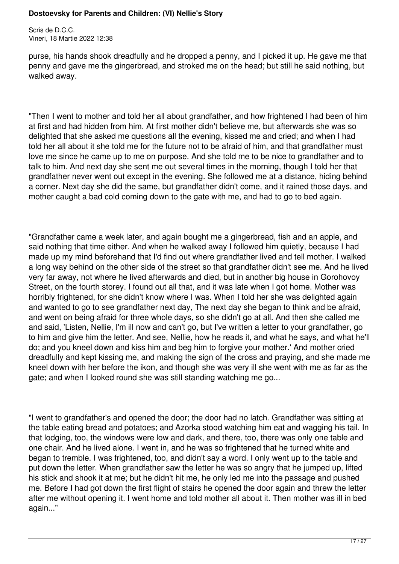Scris de D.C.C. Vineri, 18 Martie 2022 12:38

purse, his hands shook dreadfully and he dropped a penny, and I picked it up. He gave me that penny and gave me the gingerbread, and stroked me on the head; but still he said nothing, but walked away.

"Then I went to mother and told her all about grandfather, and how frightened I had been of him at first and had hidden from him. At first mother didn't believe me, but afterwards she was so delighted that she asked me questions all the evening, kissed me and cried; and when I had told her all about it she told me for the future not to be afraid of him, and that grandfather must love me since he came up to me on purpose. And she told me to be nice to grandfather and to talk to him. And next day she sent me out several times in the morning, though I told her that grandfather never went out except in the evening. She followed me at a distance, hiding behind a corner. Next day she did the same, but grandfather didn't come, and it rained those days, and mother caught a bad cold coming down to the gate with me, and had to go to bed again.

"Grandfather came a week later, and again bought me a gingerbread, fish and an apple, and said nothing that time either. And when he walked away I followed him quietly, because I had made up my mind beforehand that I'd find out where grandfather lived and tell mother. I walked a long way behind on the other side of the street so that grandfather didn't see me. And he lived very far away, not where he lived afterwards and died, but in another big house in Gorohovoy Street, on the fourth storey. I found out all that, and it was late when I got home. Mother was horribly frightened, for she didn't know where I was. When I told her she was delighted again and wanted to go to see grandfather next day, The next day she began to think and be afraid, and went on being afraid for three whole days, so she didn't go at all. And then she called me and said, 'Listen, Nellie, I'm ill now and can't go, but I've written a letter to your grandfather, go to him and give him the letter. And see, Nellie, how he reads it, and what he says, and what he'll do; and you kneel down and kiss him and beg him to forgive your mother.' And mother cried dreadfully and kept kissing me, and making the sign of the cross and praying, and she made me kneel down with her before the ikon, and though she was very ill she went with me as far as the gate; and when I looked round she was still standing watching me go...

"I went to grandfather's and opened the door; the door had no latch. Grandfather was sitting at the table eating bread and potatoes; and Azorka stood watching him eat and wagging his tail. In that lodging, too, the windows were low and dark, and there, too, there was only one table and one chair. And he lived alone. I went in, and he was so frightened that he turned white and began to tremble. I was frightened, too, and didn't say a word. I only went up to the table and put down the letter. When grandfather saw the letter he was so angry that he jumped up, lifted his stick and shook it at me; but he didn't hit me, he only led me into the passage and pushed me. Before I had got down the first flight of stairs he opened the door again and threw the letter after me without opening it. I went home and told mother all about it. Then mother was ill in bed again..."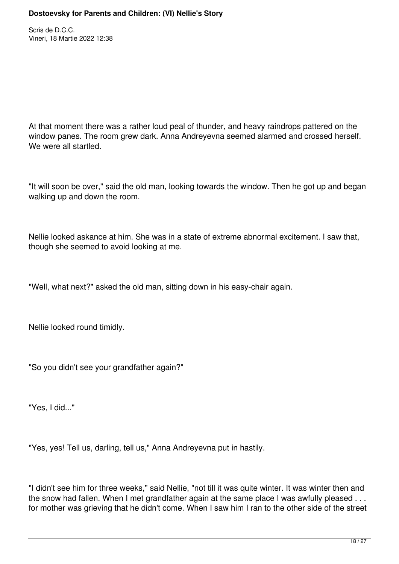Scris de D.C.C. Vineri, 18 Martie 2022 12:38

At that moment there was a rather loud peal of thunder, and heavy raindrops pattered on the window panes. The room grew dark. Anna Andreyevna seemed alarmed and crossed herself. We were all startled.

"It will soon be over," said the old man, looking towards the window. Then he got up and began walking up and down the room.

Nellie looked askance at him. She was in a state of extreme abnormal excitement. I saw that, though she seemed to avoid looking at me.

"Well, what next?" asked the old man, sitting down in his easy-chair again.

Nellie looked round timidly.

"So you didn't see your grandfather again?"

"Yes, I did..."

"Yes, yes! Tell us, darling, tell us," Anna Andreyevna put in hastily.

"I didn't see him for three weeks," said Nellie, "not till it was quite winter. It was winter then and the snow had fallen. When I met grandfather again at the same place I was awfully pleased . . . for mother was grieving that he didn't come. When I saw him I ran to the other side of the street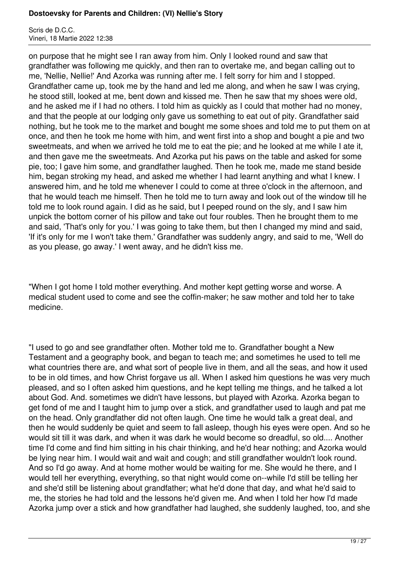Scris de D.C.C. Vineri, 18 Martie 2022 12:38

on purpose that he might see I ran away from him. Only I looked round and saw that grandfather was following me quickly, and then ran to overtake me, and began calling out to me, 'Nellie, Nellie!' And Azorka was running after me. I felt sorry for him and I stopped. Grandfather came up, took me by the hand and led me along, and when he saw I was crying, he stood still, looked at me, bent down and kissed me. Then he saw that my shoes were old, and he asked me if I had no others. I told him as quickly as I could that mother had no money, and that the people at our lodging only gave us something to eat out of pity. Grandfather said nothing, but he took me to the market and bought me some shoes and told me to put them on at once, and then he took me home with him, and went first into a shop and bought a pie and two sweetmeats, and when we arrived he told me to eat the pie; and he looked at me while I ate it, and then gave me the sweetmeats. And Azorka put his paws on the table and asked for some pie, too; I gave him some, and grandfather laughed. Then he took me, made me stand beside him, began stroking my head, and asked me whether I had learnt anything and what I knew. I answered him, and he told me whenever I could to come at three o'clock in the afternoon, and that he would teach me himself. Then he told me to turn away and look out of the window till he told me to look round again. I did as he said, but I peeped round on the sly, and I saw him unpick the bottom corner of his pillow and take out four roubles. Then he brought them to me and said, 'That's only for you.' I was going to take them, but then I changed my mind and said, 'If it's only for me I won't take them.' Grandfather was suddenly angry, and said to me, 'Well do as you please, go away.' I went away, and he didn't kiss me.

"When I got home I told mother everything. And mother kept getting worse and worse. A medical student used to come and see the coffin-maker; he saw mother and told her to take medicine.

"I used to go and see grandfather often. Mother told me to. Grandfather bought a New Testament and a geography book, and began to teach me; and sometimes he used to tell me what countries there are, and what sort of people live in them, and all the seas, and how it used to be in old times, and how Christ forgave us all. When I asked him questions he was very much pleased, and so I often asked him questions, and he kept telling me things, and he talked a lot about God. And. sometimes we didn't have lessons, but played with Azorka. Azorka began to get fond of me and I taught him to jump over a stick, and grandfather used to laugh and pat me on the head. Only grandfather did not often laugh. One time he would talk a great deal, and then he would suddenly be quiet and seem to fall asleep, though his eyes were open. And so he would sit till it was dark, and when it was dark he would become so dreadful, so old.... Another time I'd come and find him sitting in his chair thinking, and he'd hear nothing; and Azorka would be lying near him. I would wait and wait and cough; and still grandfather wouldn't look round. And so I'd go away. And at home mother would be waiting for me. She would he there, and I would tell her everything, everything, so that night would come on--while I'd still be telling her and she'd still be listening about grandfather; what he'd done that day, and what he'd said to me, the stories he had told and the lessons he'd given me. And when I told her how I'd made Azorka jump over a stick and how grandfather had laughed, she suddenly laughed, too, and she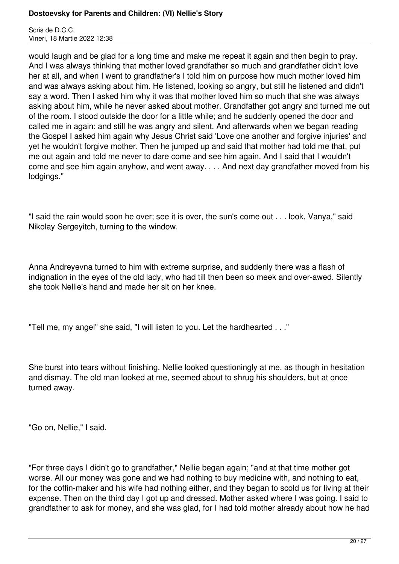Scris de D.C.C. Vineri, 18 Martie 2022 12:38

would laugh and be glad for a long time and make me repeat it again and then begin to pray. And I was always thinking that mother loved grandfather so much and grandfather didn't love her at all, and when I went to grandfather's I told him on purpose how much mother loved him and was always asking about him. He listened, looking so angry, but still he listened and didn't say a word. Then I asked him why it was that mother loved him so much that she was always asking about him, while he never asked about mother. Grandfather got angry and turned me out of the room. I stood outside the door for a little while; and he suddenly opened the door and called me in again; and still he was angry and silent. And afterwards when we began reading the Gospel I asked him again why Jesus Christ said 'Love one another and forgive injuries' and yet he wouldn't forgive mother. Then he jumped up and said that mother had told me that, put me out again and told me never to dare come and see him again. And I said that I wouldn't come and see him again anyhow, and went away. . . . And next day grandfather moved from his lodgings."

"I said the rain would soon he over; see it is over, the sun's come out . . . look, Vanya," said Nikolay Sergeyitch, turning to the window.

Anna Andreyevna turned to him with extreme surprise, and suddenly there was a flash of indignation in the eyes of the old lady, who had till then been so meek and over-awed. Silently she took Nellie's hand and made her sit on her knee.

"Tell me, my angel" she said, "I will listen to you. Let the hardhearted . . ."

She burst into tears without finishing. Nellie looked questioningly at me, as though in hesitation and dismay. The old man looked at me, seemed about to shrug his shoulders, but at once turned away.

"Go on, Nellie," I said.

"For three days I didn't go to grandfather," Nellie began again; "and at that time mother got worse. All our money was gone and we had nothing to buy medicine with, and nothing to eat, for the coffin-maker and his wife had nothing either, and they began to scold us for living at their expense. Then on the third day I got up and dressed. Mother asked where I was going. I said to grandfather to ask for money, and she was glad, for I had told mother already about how he had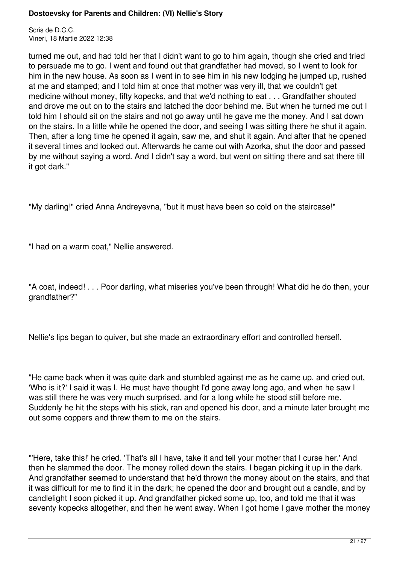Scris de D.C.C. Vineri, 18 Martie 2022 12:38

turned me out, and had told her that I didn't want to go to him again, though she cried and tried to persuade me to go. I went and found out that grandfather had moved, so I went to look for him in the new house. As soon as I went in to see him in his new lodging he jumped up, rushed at me and stamped; and I told him at once that mother was very ill, that we couldn't get medicine without money, fifty kopecks, and that we'd nothing to eat . . . Grandfather shouted and drove me out on to the stairs and latched the door behind me. But when he turned me out I told him I should sit on the stairs and not go away until he gave me the money. And I sat down on the stairs. In a little while he opened the door, and seeing I was sitting there he shut it again. Then, after a long time he opened it again, saw me, and shut it again. And after that he opened it several times and looked out. Afterwards he came out with Azorka, shut the door and passed by me without saying a word. And I didn't say a word, but went on sitting there and sat there till it got dark."

"My darling!" cried Anna Andreyevna, "but it must have been so cold on the staircase!"

"I had on a warm coat," Nellie answered.

"A coat, indeed! . . . Poor darling, what miseries you've been through! What did he do then, your grandfather?"

Nellie's lips began to quiver, but she made an extraordinary effort and controlled herself.

"He came back when it was quite dark and stumbled against me as he came up, and cried out, 'Who is it?' I said it was I. He must have thought I'd gone away long ago, and when he saw I was still there he was very much surprised, and for a long while he stood still before me. Suddenly he hit the steps with his stick, ran and opened his door, and a minute later brought me out some coppers and threw them to me on the stairs.

"'Here, take this!' he cried. 'That's all I have, take it and tell your mother that I curse her.' And then he slammed the door. The money rolled down the stairs. I began picking it up in the dark. And grandfather seemed to understand that he'd thrown the money about on the stairs, and that it was difficult for me to find it in the dark; he opened the door and brought out a candle, and by candlelight I soon picked it up. And grandfather picked some up, too, and told me that it was seventy kopecks altogether, and then he went away. When I got home I gave mother the money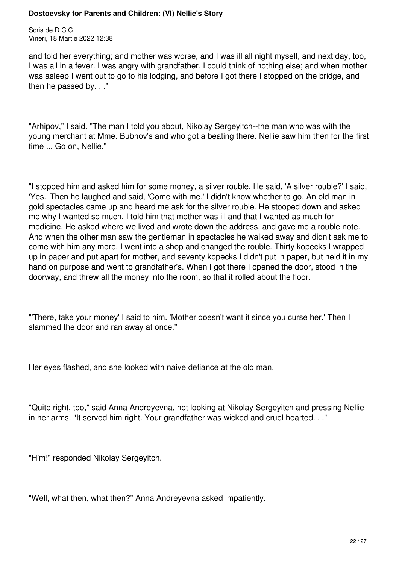Scris de D.C.C. Vineri, 18 Martie 2022 12:38

and told her everything; and mother was worse, and I was ill all night myself, and next day, too, I was all in a fever. I was angry with grandfather. I could think of nothing else; and when mother was asleep I went out to go to his lodging, and before I got there I stopped on the bridge, and then he passed by. . ."

"Arhipov," I said. "The man I told you about, Nikolay Sergeyitch--the man who was with the young merchant at Mme. Bubnov's and who got a beating there. Nellie saw him then for the first time ... Go on, Nellie."

"I stopped him and asked him for some money, a silver rouble. He said, 'A silver rouble?' I said, 'Yes.' Then he laughed and said, 'Come with me.' I didn't know whether to go. An old man in gold spectacles came up and heard me ask for the silver rouble. He stooped down and asked me why I wanted so much. I told him that mother was ill and that I wanted as much for medicine. He asked where we lived and wrote down the address, and gave me a rouble note. And when the other man saw the gentleman in spectacles he walked away and didn't ask me to come with him any more. I went into a shop and changed the rouble. Thirty kopecks I wrapped up in paper and put apart for mother, and seventy kopecks I didn't put in paper, but held it in my hand on purpose and went to grandfather's. When I got there I opened the door, stood in the doorway, and threw all the money into the room, so that it rolled about the floor.

"'There, take your money' I said to him. 'Mother doesn't want it since you curse her.' Then I slammed the door and ran away at once."

Her eyes flashed, and she looked with naive defiance at the old man.

"Quite right, too," said Anna Andreyevna, not looking at Nikolay Sergeyitch and pressing Nellie in her arms. "It served him right. Your grandfather was wicked and cruel hearted. . ."

"H'm!" responded Nikolay Sergeyitch.

"Well, what then, what then?" Anna Andreyevna asked impatiently.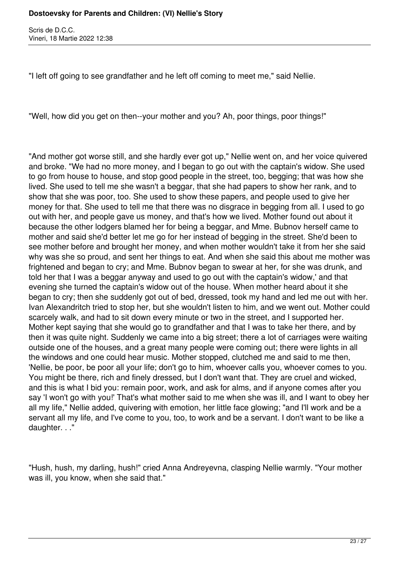Scris de D.C.C. Vineri, 18 Martie 2022 12:38

"I left off going to see grandfather and he left off coming to meet me," said Nellie.

"Well, how did you get on then--your mother and you? Ah, poor things, poor things!"

"And mother got worse still, and she hardly ever got up," Nellie went on, and her voice quivered and broke. "We had no more money, and I began to go out with the captain's widow. She used to go from house to house, and stop good people in the street, too, begging; that was how she lived. She used to tell me she wasn't a beggar, that she had papers to show her rank, and to show that she was poor, too. She used to show these papers, and people used to give her money for that. She used to tell me that there was no disgrace in begging from all. I used to go out with her, and people gave us money, and that's how we lived. Mother found out about it because the other lodgers blamed her for being a beggar, and Mme. Bubnov herself came to mother and said she'd better let me go for her instead of begging in the street. She'd been to see mother before and brought her money, and when mother wouldn't take it from her she said why was she so proud, and sent her things to eat. And when she said this about me mother was frightened and began to cry; and Mme. Bubnov began to swear at her, for she was drunk, and told her that I was a beggar anyway and used to go out with the captain's widow,' and that evening she turned the captain's widow out of the house. When mother heard about it she began to cry; then she suddenly got out of bed, dressed, took my hand and led me out with her. Ivan Alexandritch tried to stop her, but she wouldn't listen to him, and we went out. Mother could scarcely walk, and had to sit down every minute or two in the street, and I supported her. Mother kept saying that she would go to grandfather and that I was to take her there, and by then it was quite night. Suddenly we came into a big street; there a lot of carriages were waiting outside one of the houses, and a great many people were coming out; there were lights in all the windows and one could hear music. Mother stopped, clutched me and said to me then, 'Nellie, be poor, be poor all your life; don't go to him, whoever calls you, whoever comes to you. You might be there, rich and finely dressed, but I don't want that. They are cruel and wicked, and this is what I bid you: remain poor, work, and ask for alms, and if anyone comes after you say 'I won't go with you!' That's what mother said to me when she was ill, and I want to obey her all my life," Nellie added, quivering with emotion, her little face glowing; "and I'll work and be a servant all my life, and I've come to you, too, to work and be a servant. I don't want to be like a daughter. . ."

"Hush, hush, my darling, hush!" cried Anna Andreyevna, clasping Nellie warmly. "Your mother was ill, you know, when she said that."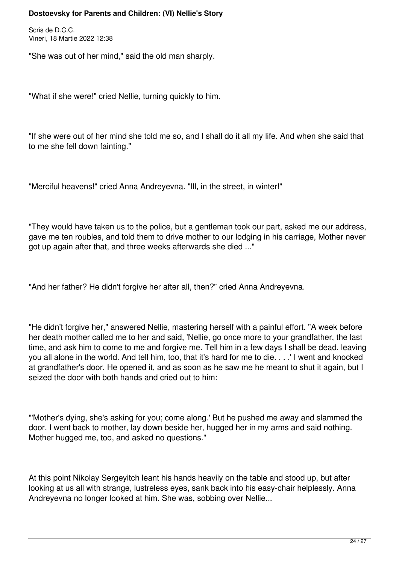Scris de D.C.C. Vineri, 18 Martie 2022 12:38

"She was out of her mind," said the old man sharply.

"What if she were!" cried Nellie, turning quickly to him.

"If she were out of her mind she told me so, and I shall do it all my life. And when she said that to me she fell down fainting."

"Merciful heavens!" cried Anna Andreyevna. "Ill, in the street, in winter!"

"They would have taken us to the police, but a gentleman took our part, asked me our address, gave me ten roubles, and told them to drive mother to our lodging in his carriage, Mother never got up again after that, and three weeks afterwards she died ..."

"And her father? He didn't forgive her after all, then?" cried Anna Andreyevna.

"He didn't forgive her," answered Nellie, mastering herself with a painful effort. "A week before her death mother called me to her and said, 'Nellie, go once more to your grandfather, the last time, and ask him to come to me and forgive me. Tell him in a few days I shall be dead, leaving you all alone in the world. And tell him, too, that it's hard for me to die. . . .' I went and knocked at grandfather's door. He opened it, and as soon as he saw me he meant to shut it again, but I seized the door with both hands and cried out to him:

"'Mother's dying, she's asking for you; come along.' But he pushed me away and slammed the door. I went back to mother, lay down beside her, hugged her in my arms and said nothing. Mother hugged me, too, and asked no questions."

At this point Nikolay Sergeyitch leant his hands heavily on the table and stood up, but after looking at us all with strange, lustreless eyes, sank back into his easy-chair helplessly. Anna Andreyevna no longer looked at him. She was, sobbing over Nellie...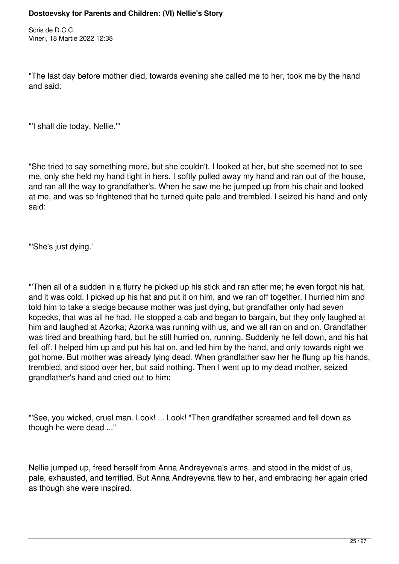Scris de D.C.C. Vineri, 18 Martie 2022 12:38

"The last day before mother died, towards evening she called me to her, took me by the hand and said:

"'I shall die today, Nellie.'"

"She tried to say something more, but she couldn't. I looked at her, but she seemed not to see me, only she held my hand tight in hers. I softly pulled away my hand and ran out of the house, and ran all the way to grandfather's. When he saw me he jumped up from his chair and looked at me, and was so frightened that he turned quite pale and trembled. I seized his hand and only said:

"'She's just dying.'

"'Then all of a sudden in a flurry he picked up his stick and ran after me; he even forgot his hat, and it was cold. I picked up his hat and put it on him, and we ran off together. I hurried him and told him to take a sledge because mother was just dying, but grandfather only had seven kopecks, that was all he had. He stopped a cab and began to bargain, but they only laughed at him and laughed at Azorka; Azorka was running with us, and we all ran on and on. Grandfather was tired and breathing hard, but he still hurried on, running. Suddenly he fell down, and his hat fell off. I helped him up and put his hat on, and led him by the hand, and only towards night we got home. But mother was already lying dead. When grandfather saw her he flung up his hands, trembled, and stood over her, but said nothing. Then I went up to my dead mother, seized grandfather's hand and cried out to him:

"'See, you wicked, cruel man. Look! ... Look! "Then grandfather screamed and fell down as though he were dead ..."

Nellie jumped up, freed herself from Anna Andreyevna's arms, and stood in the midst of us, pale, exhausted, and terrified. But Anna Andreyevna flew to her, and embracing her again cried as though she were inspired.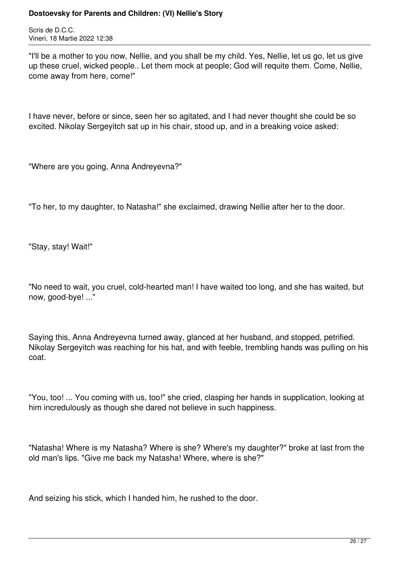Scris de D.C.C. Vineri, 18 Martie 2022 12:38

"I'll be a mother to you now, Nellie, and you shall be my child. Yes, Nellie, let us go, let us give up these cruel, wicked people.. Let them mock at people; God will requite them. Come, Nellie, come away from here, come!"

I have never, before or since, seen her so agitated, and I had never thought she could be so excited. Nikolay Sergeyitch sat up in his chair, stood up, and in a breaking voice asked:

"Where are you going, Anna Andreyevna?"

"To her, to my daughter, to Natasha!" she exclaimed, drawing Nellie after her to the door.

"Stay, stay! Wait!"

"No need to wait, you cruel, cold-hearted man! I have waited too long, and she has waited, but now, good-bye! ..."

Saying this, Anna Andreyevna turned away, glanced at her husband, and stopped, petrified. Nikolay Sergeyitch was reaching for his hat, and with feeble, trembling hands was pulling on his coat.

"You, too! ... You coming with us, too!" she cried, clasping her hands in supplication, looking at him incredulously as though she dared not believe in such happiness.

"Natasha! Where is my Natasha? Where is she? Where's my daughter?" broke at last from the old man's lips. "Give me back my Natasha! Where, where is she?"

And seizing his stick, which I handed him, he rushed to the door.